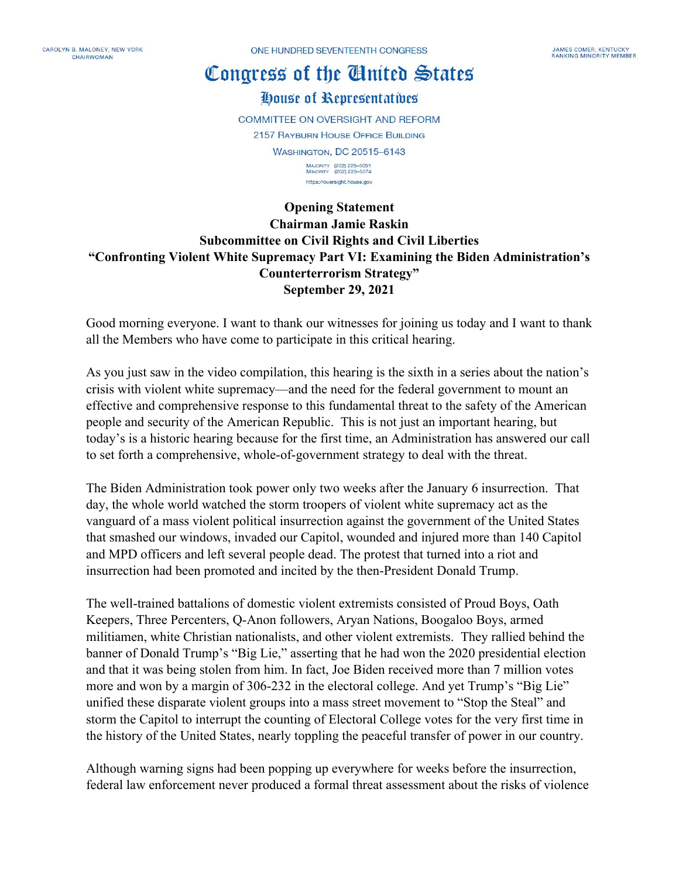CAROLYN B. MALONEY NEW YORK CHAIRWOMAN

ONE HUNDRED SEVENTEENTH CONGRESS

## Congress of the Cluited States

## House of Representatives

**COMMITTEE ON OVERSIGHT AND REFORM 2157 RAYBURN HOUSE OFFICE BUILDING WASHINGTON, DC 20515-6143** MAJORITY (202) 225-5051<br>MINORITY (202) 225-5074

https://oversight.house.gov

## **Opening Statement Chairman Jamie Raskin Subcommittee on Civil Rights and Civil Liberties "Confronting Violent White Supremacy Part VI: Examining the Biden Administration's Counterterrorism Strategy" September 29, 2021**

Good morning everyone. I want to thank our witnesses for joining us today and I want to thank all the Members who have come to participate in this critical hearing.

As you just saw in the video compilation, this hearing is the sixth in a series about the nation's crisis with violent white supremacy—and the need for the federal government to mount an effective and comprehensive response to this fundamental threat to the safety of the American people and security of the American Republic. This is not just an important hearing, but today's is a historic hearing because for the first time, an Administration has answered our call to set forth a comprehensive, whole-of-government strategy to deal with the threat.

The Biden Administration took power only two weeks after the January 6 insurrection. That day, the whole world watched the storm troopers of violent white supremacy act as the vanguard of a mass violent political insurrection against the government of the United States that smashed our windows, invaded our Capitol, wounded and injured more than 140 Capitol and MPD officers and left several people dead. The protest that turned into a riot and insurrection had been promoted and incited by the then-President Donald Trump.

The well-trained battalions of domestic violent extremists consisted of Proud Boys, Oath Keepers, Three Percenters, Q-Anon followers, Aryan Nations, Boogaloo Boys, armed militiamen, white Christian nationalists, and other violent extremists. They rallied behind the banner of Donald Trump's "Big Lie," asserting that he had won the 2020 presidential election and that it was being stolen from him. In fact, Joe Biden received more than 7 million votes more and won by a margin of 306-232 in the electoral college. And yet Trump's "Big Lie" unified these disparate violent groups into a mass street movement to "Stop the Steal" and storm the Capitol to interrupt the counting of Electoral College votes for the very first time in the history of the United States, nearly toppling the peaceful transfer of power in our country.

Although warning signs had been popping up everywhere for weeks before the insurrection, federal law enforcement never produced a formal threat assessment about the risks of violence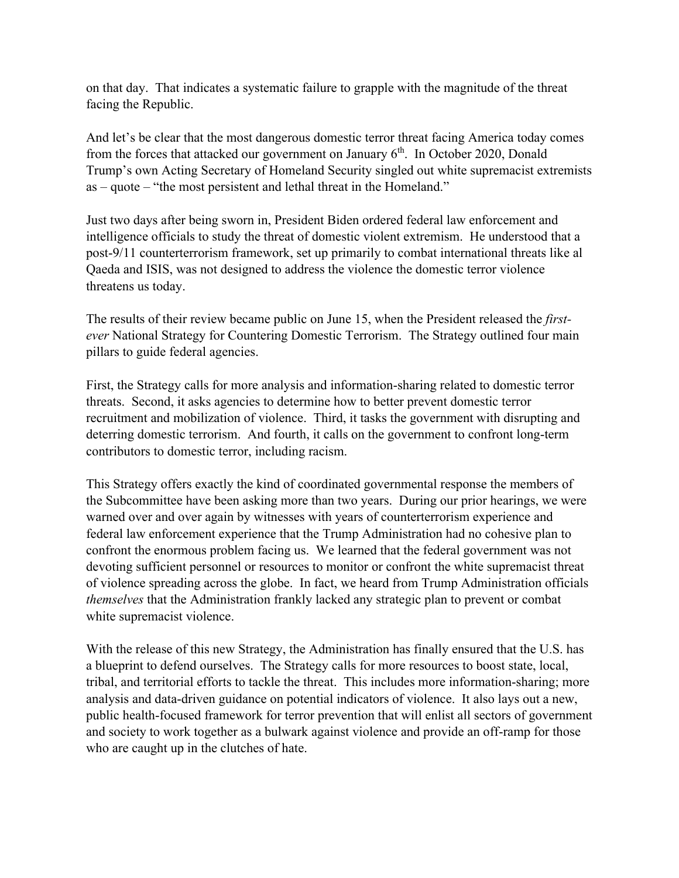on that day. That indicates a systematic failure to grapple with the magnitude of the threat facing the Republic.

And let's be clear that the most dangerous domestic terror threat facing America today comes from the forces that attacked our government on January  $6<sup>th</sup>$ . In October 2020, Donald Trump's own Acting Secretary of Homeland Security singled out white supremacist extremists as – quote – "the most persistent and lethal threat in the Homeland."

Just two days after being sworn in, President Biden ordered federal law enforcement and intelligence officials to study the threat of domestic violent extremism. He understood that a post-9/11 counterterrorism framework, set up primarily to combat international threats like al Qaeda and ISIS, was not designed to address the violence the domestic terror violence threatens us today.

The results of their review became public on June 15, when the President released the *firstever* National Strategy for Countering Domestic Terrorism. The Strategy outlined four main pillars to guide federal agencies.

First, the Strategy calls for more analysis and information-sharing related to domestic terror threats. Second, it asks agencies to determine how to better prevent domestic terror recruitment and mobilization of violence. Third, it tasks the government with disrupting and deterring domestic terrorism. And fourth, it calls on the government to confront long-term contributors to domestic terror, including racism.

This Strategy offers exactly the kind of coordinated governmental response the members of the Subcommittee have been asking more than two years. During our prior hearings, we were warned over and over again by witnesses with years of counterterrorism experience and federal law enforcement experience that the Trump Administration had no cohesive plan to confront the enormous problem facing us. We learned that the federal government was not devoting sufficient personnel or resources to monitor or confront the white supremacist threat of violence spreading across the globe. In fact, we heard from Trump Administration officials *themselves* that the Administration frankly lacked any strategic plan to prevent or combat white supremacist violence.

With the release of this new Strategy, the Administration has finally ensured that the U.S. has a blueprint to defend ourselves. The Strategy calls for more resources to boost state, local, tribal, and territorial efforts to tackle the threat. This includes more information-sharing; more analysis and data-driven guidance on potential indicators of violence. It also lays out a new, public health-focused framework for terror prevention that will enlist all sectors of government and society to work together as a bulwark against violence and provide an off-ramp for those who are caught up in the clutches of hate.